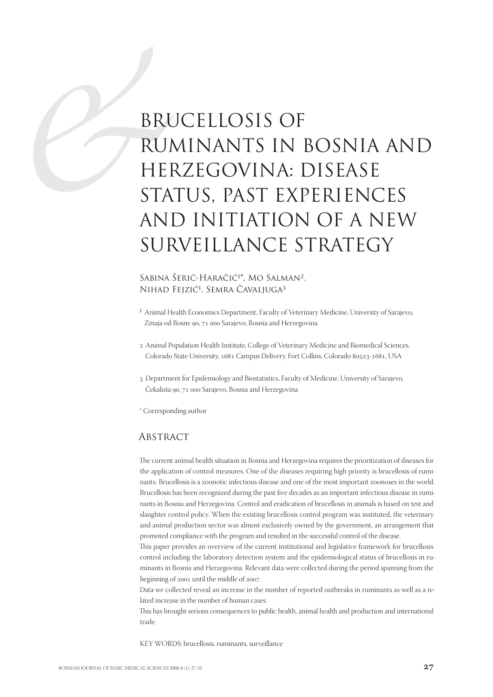# BRU RUI<br>HEI<br>STA<br>ANI BRUCELLOSIS OF RUMINANTS IN BOSNIA AND HERZEGOVINA: DISEASE STATUS, PAST EXPERIENCES AND INITIATION OF A NEW SURVEILLANCE STRATEGY

#### SABINA ŠERIĆ-HARAČIĆ<sup>1\*</sup>, MO SALMAN<sup>2</sup>, NIHAD FEJZIĆ<sup>1</sup>, SEMRA ČAVALJUGA<sup>3</sup>

- <sup>1</sup> Animal Health Economics Department, Faculty of Veterinary Medicine, University of Sarajevo, Zmaja od Bosne 90, 71 000 Sarajevo, Bosnia and Herzegovina
- Animal Population Health Institute, College of Veterinary Medicine and Biomedical Sciences, Colorado State University, 1681 Campus Delivery, Fort Collins, Colorado 80523-1681, USA
- Department for Epidemiology and Biostatistics, Faculty of Medicine, University of Sarajevo, Čekaluša 90, 71 000 Sarajevo, Bosnia and Herzegovina

\* Corresponding author

#### **ABSTRACT**

The current animal health situation in Bosnia and Herzegovina requires the prioritization of diseases for the application of control measures. One of the diseases requiring high priority is brucellosis of ruminants. Brucellosis is a zoonotic infectious disease and one of the most important zoonoses in the world. Brucellosis has been recognized during the past five decades as an important infectious disease in ruminants in Bosnia and Herzegovina. Control and eradication of brucellosis in animals is based on test and slaughter control policy. When the existing brucellosis control program was instituted, the veterinary and animal production sector was almost exclusively owned by the government, an arrangement that promoted compliance with the program and resulted in the successful control of the disease.

This paper provides an overview of the current institutional and legislative framework for brucellosis control including the laboratory detection system and the epidemiological status of brucellosis in ruminants in Bosnia and Herzegovina. Relevant data were collected during the period spanning from the beginning of 2001 until the middle of 2007.

Data we collected reveal an increase in the number of reported outbreaks in ruminants as well as a related increase in the number of human cases.

This has brought serious consequences to public health, animal health and production and international trade.

KEY WORDS: brucellosis, ruminants, surveillance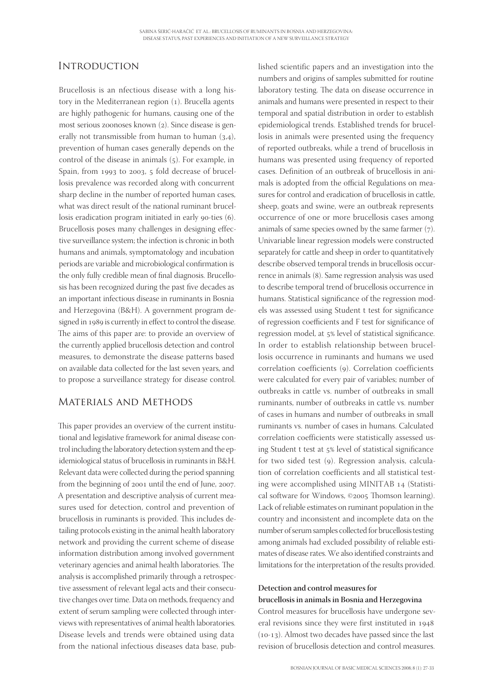## **INTRODUCTION**

Brucellosis is an nfectious disease with a long history in the Mediterranean region  $(1)$ . Brucella agents are highly pathogenic for humans, causing one of the most serious zoonoses known (2). Since disease is generally not transmissible from human to human  $(3,4)$ , prevention of human cases generally depends on the control of the disease in animals  $(5)$ . For example, in Spain, from 1993 to 2003, 5 fold decrease of brucellosis prevalence was recorded along with concurrent sharp decline in the number of reported human cases, what was direct result of the national ruminant brucellosis eradication program initiated in early 90-ties (6). Brucellosis poses many challenges in designing effective surveillance system; the infection is chronic in both humans and animals, symptomatology and incubation periods are variable and microbiological confirmation is the only fully credible mean of final diagnosis. Brucellosis has been recognized during the past five decades as an important infectious disease in ruminants in Bosnia and Herzegovina (B&H). A government program designed in 1989 is currently in effect to control the disease. The aims of this paper are: to provide an overview of the currently applied brucellosis detection and control measures, to demonstrate the disease patterns based on available data collected for the last seven years, and to propose a surveillance strategy for disease control.

## Materials and Methods

This paper provides an overview of the current institutional and legislative framework for animal disease control including the laboratory detection system and the epidemiological status of brucellosis in ruminants in B&H. Relevant data were collected during the period spanning from the beginning of 2001 until the end of June, 2007. A presentation and descriptive analysis of current measures used for detection, control and prevention of brucellosis in ruminants is provided. This includes detailing protocols existing in the animal health laboratory network and providing the current scheme of disease information distribution among involved government veterinary agencies and animal health laboratories. The analysis is accomplished primarily through a retrospective assessment of relevant legal acts and their consecutive changes over time. Data on methods, frequency and extent of serum sampling were collected through interviews with representatives of animal health laboratories. Disease levels and trends were obtained using data from the national infectious diseases data base, published scientific papers and an investigation into the numbers and origins of samples submitted for routine laboratory testing. The data on disease occurrence in animals and humans were presented in respect to their temporal and spatial distribution in order to establish epidemiological trends. Established trends for brucellosis in animals were presented using the frequency of reported outbreaks, while a trend of brucellosis in humans was presented using frequency of reported cases. Definition of an outbreak of brucellosis in animals is adopted from the official Regulations on measures for control and eradication of brucellosis in cattle, sheep, goats and swine, were an outbreak represents occurrence of one or more brucellosis cases among animals of same species owned by the same farmer  $(7)$ . Univariable linear regression models were constructed separately for cattle and sheep in order to quantitatively describe observed temporal trends in brucellosis occurrence in animals (8). Same regression analysis was used to describe temporal trend of brucellosis occurrence in humans. Statistical significance of the regression models was assessed using Student t test for significance of regression coefficients and F test for significance of regression model, at 5% level of statistical significance. In order to establish relationship between brucellosis occurrence in ruminants and humans we used correlation coefficients (9). Correlation coefficients were calculated for every pair of variables; number of outbreaks in cattle vs. number of outbreaks in small ruminants, number of outbreaks in cattle vs. number of cases in humans and number of outbreaks in small ruminants vs. number of cases in humans. Calculated correlation coefficients were statistically assessed using Student t test at 5% level of statistical significance for two sided test (9). Regression analysis, calculation of correlation coefficients and all statistical testing were accomplished using MINITAB 14 (Statistical software for Windows, ©2005 Thomson learning). Lack of reliable estimates on ruminant population in the country and inconsistent and incomplete data on the number of serum samples collected for brucellosis testing among animals had excluded possibility of reliable estimates of disease rates. We also identified constraints and limitations for the interpretation of the results provided.

#### **Detection and control measures for brucellosis in animals in Bosnia and Herzegovina**

Control measures for brucellosis have undergone several revisions since they were first instituted in  $(10-13)$ . Almost two decades have passed since the last revision of brucellosis detection and control measures.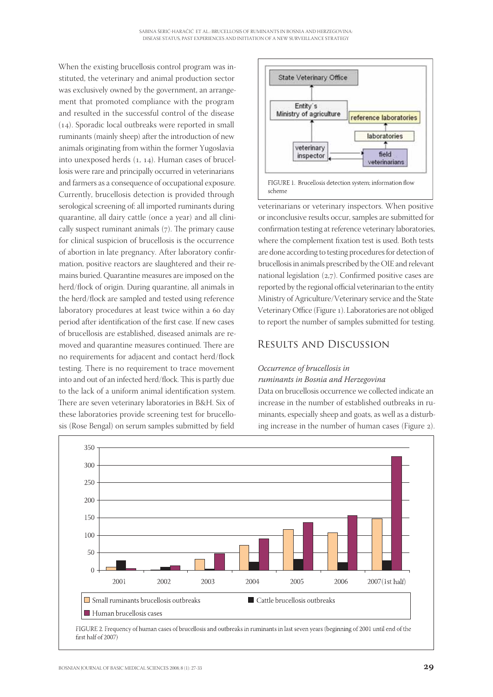When the existing brucellosis control program was instituted, the veterinary and animal production sector was exclusively owned by the government, an arrangement that promoted compliance with the program and resulted in the successful control of the disease  $(14)$ . Sporadic local outbreaks were reported in small ruminants (mainly sheep) after the introduction of new animals originating from within the former Yugoslavia into unexposed herds  $(1, 14)$ . Human cases of brucellosis were rare and principally occurred in veterinarians and farmers as a consequence of occupational exposure. Currently, brucellosis detection is provided through serological screening of: all imported ruminants during quarantine, all dairy cattle (once a year) and all clinically suspect ruminant animals  $(7)$ . The primary cause for clinical suspicion of brucellosis is the occurrence of abortion in late pregnancy. After laboratory confirmation, positive reactors are slaughtered and their remains buried. Quarantine measures are imposed on the herd/flock of origin. During quarantine, all animals in the herd/flock are sampled and tested using reference laboratory procedures at least twice within a 60 day period after identification of the first case. If new cases of brucellosis are established, diseased animals are removed and quarantine measures continued. There are no requirements for adjacent and contact herd/flock testing. There is no requirement to trace movement into and out of an infected herd/flock. This is partly due to the lack of a uniform animal identification system. There are seven veterinary laboratories in B&H. Six of these laboratories provide screening test for brucellosis (Rose Bengal) on serum samples submitted by field



veterinarians or veterinary inspectors. When positive or inconclusive results occur, samples are submitted for confirmation testing at reference veterinary laboratories, where the complement fixation test is used. Both tests are done according to testing procedures for detection of brucellosis in animals prescribed by the OIE and relevant national legislation  $(2,7)$ . Confirmed positive cases are reported by the regional official veterinarian to the entity Ministry of Agriculture/Veterinary service and the State Veterinary Office (Figure 1). Laboratories are not obliged to report the number of samples submitted for testing.

## Results and Discussion

#### *Occurrence of brucellosis in*

#### *ruminants in Bosnia and Herzegovina*

Data on brucellosis occurrence we collected indicate an increase in the number of established outbreaks in ruminants, especially sheep and goats, as well as a disturbing increase in the number of human cases (Figure 2).



FIGURE 2. Frequency of human cases of brucellosis and outbreaks in ruminants in last seven years (beginning of 2001 until end of the first half of 2007)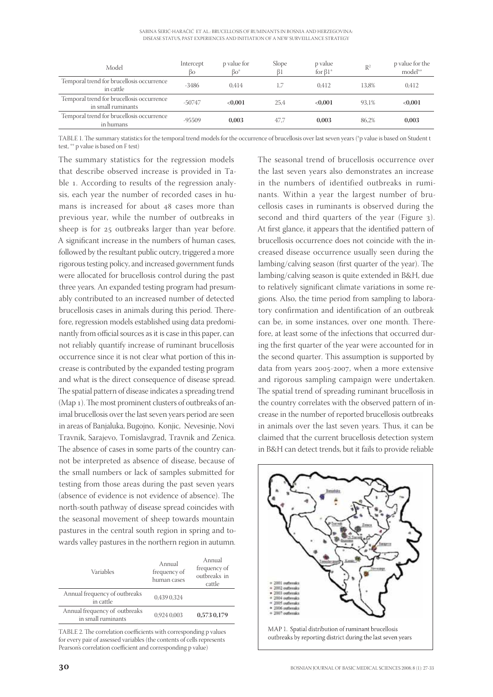| SABINA ŠERIĆ-HARAČIĆ ET AL.: BRUCELLOSIS OF RUMINANTS IN BOSNIA AND HERZEGOVINA: |  |
|----------------------------------------------------------------------------------|--|
| DISEASE STATUS. PAST EXPERIENCES AND INITIATION OF A NEW SURVEILLANCE STRATEGY   |  |

| Model                                                           | Intercept<br>βo | p value for<br>$Bo^*$ | Slope<br>ß1 | p value<br>for $\beta1^*$ | R <sup>2</sup> | p value for the<br>model <sup>**</sup> |
|-----------------------------------------------------------------|-----------------|-----------------------|-------------|---------------------------|----------------|----------------------------------------|
| Temporal trend for brucellosis occurrence<br>in cattle          | $-3486$         | 0.414                 | 1.7         | 0.412                     | 13.8%          | 0.412                                  |
| Temporal trend for brucellosis occurrence<br>in small ruminants | $-50747$        | < 0.001               | 25.4        | ${<}0.001$                | 93.1%          | < 0,001                                |
| Temporal trend for brucellosis occurrence<br>in humans          | $-95509$        | 0.003                 | 47.7        | 0.003                     | 86.2%          | 0,003                                  |

TABLE 1. The summary statistics for the temporal trend models for the occurrence of brucellosis over last seven years (\*p value is based on Student t test, \*\* p value is based on F test)

The summary statistics for the regression models that describe observed increase is provided in Table 1. According to results of the regression analysis, each year the number of recorded cases in humans is increased for about 48 cases more than previous year, while the number of outbreaks in sheep is for 25 outbreaks larger than year before. A significant increase in the numbers of human cases, followed by the resultant public outcry, triggered a more rigorous testing policy, and increased government funds were allocated for brucellosis control during the past three years. An expanded testing program had presumably contributed to an increased number of detected brucellosis cases in animals during this period. Therefore, regression models established using data predominantly from official sources as it is case in this paper, can not reliably quantify increase of ruminant brucellosis occurrence since it is not clear what portion of this increase is contributed by the expanded testing program and what is the direct consequence of disease spread. The spatial pattern of disease indicates a spreading trend (Map  $_1$ ). The most prominent clusters of outbreaks of animal brucellosis over the last seven years period are seen in areas of Banjaluka, Bugojno, Konjic, Nevesinje, Novi Travnik, Sarajevo, Tomislavgrad, Travnik and Zenica. The absence of cases in some parts of the country cannot be interpreted as absence of disease, because of the small numbers or lack of samples submitted for testing from those areas during the past seven years (absence of evidence is not evidence of absence). The north-south pathway of disease spread coincides with the seasonal movement of sheep towards mountain pastures in the central south region in spring and towards valley pastures in the northern region in autumn.

| Annual<br>frequency of<br>human cases | Annual<br>frequency of<br>outbreaks in<br>cattle |
|---------------------------------------|--------------------------------------------------|
| 0.439 0.324                           |                                                  |
| 0.924 0.003                           | 0,573 0,179                                      |
|                                       |                                                  |

TABLE 2. The correlation coefficients with corresponding p values for every pair of assessed variables (the contents of cells represents Pearson's correlation coefficient and corresponding p value)

The seasonal trend of brucellosis occurrence over the last seven years also demonstrates an increase in the numbers of identified outbreaks in ruminants. Within a year the largest number of brucellosis cases in ruminants is observed during the second and third quarters of the year (Figure 3). At first glance, it appears that the identified pattern of brucellosis occurrence does not coincide with the increased disease occurrence usually seen during the lambing/calving season (first quarter of the year). The lambing/calving season is quite extended in B&H, due to relatively significant climate variations in some regions. Also, the time period from sampling to laboratory confirmation and identification of an outbreak can be, in some instances, over one month. Therefore, at least some of the infections that occurred during the first quarter of the year were accounted for in the second quarter. This assumption is supported by data from years 2005-2007, when a more extensive and rigorous sampling campaign were undertaken. The spatial trend of spreading ruminant brucellosis in the country correlates with the observed pattern of increase in the number of reported brucellosis outbreaks in animals over the last seven years. Thus, it can be claimed that the current brucellosis detection system in B&H can detect trends, but it fails to provide reliable

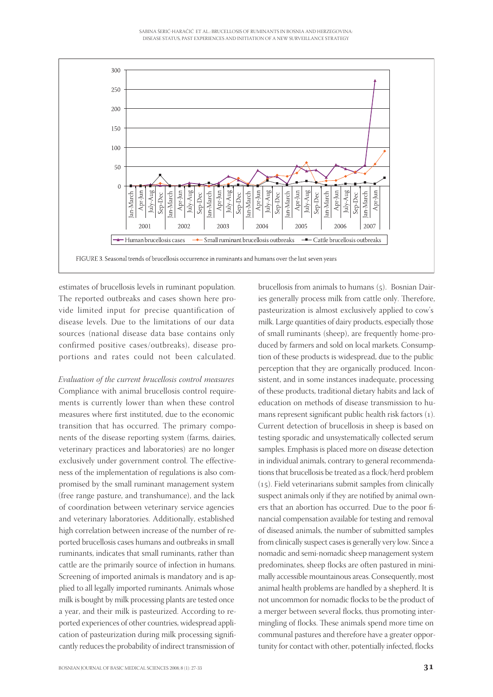

estimates of brucellosis levels in ruminant population. The reported outbreaks and cases shown here provide limited input for precise quantification of disease levels. Due to the limitations of our data sources (national disease data base contains only confirmed positive cases/outbreaks), disease proportions and rates could not been calculated.

Evaluation of the current brucellosis control measures Compliance with animal brucellosis control requirements is currently lower than when these control measures where first instituted, due to the economic transition that has occurred. The primary components of the disease reporting system (farms, dairies, veterinary practices and laboratories) are no longer exclusively under government control. The effectiveness of the implementation of regulations is also compromised by the small ruminant management system (free range pasture, and transhumance), and the lack of coordination between veterinary service agencies and veterinary laboratories. Additionally, established high correlation between increase of the number of reported brucellosis cases humans and outbreaks in small ruminants, indicates that small ruminants, rather than cattle are the primarily source of infection in humans. Screening of imported animals is mandatory and is applied to all legally imported ruminants. Animals whose milk is bought by milk processing plants are tested once a year, and their milk is pasteurized. According to reported experiences of other countries, widespread application of pasteurization during milk processing significantly reduces the probability of indirect transmission of milk. Large quantities of dairy products, especially those of small ruminants (sheep), are frequently home-produced by farmers and sold on local markets. Consumption of these products is widespread, due to the public perception that they are organically produced. Inconsistent, and in some instances inadequate, processing of these products, traditional dietary habits and lack of education on methods of disease transmission to humans represent significant public health risk factors (1). Current detection of brucellosis in sheep is based on testing sporadic and unsystematically collected serum samples. Emphasis is placed more on disease detection in individual animals, contrary to general recommendations that brucellosis be treated as a flock/herd problem (15). Field veterinarians submit samples from clinically suspect animals only if they are notified by animal owners that an abortion has occurred. Due to the poor financial compensation available for testing and removal of diseased animals, the number of submitted samples from clinically suspect cases is generally very low. Since a nomadic and semi-nomadic sheep management system predominates, sheep flocks are often pastured in minimally accessible mountainous areas. Consequently, most animal health problems are handled by a shepherd. It is not uncommon for nomadic flocks to be the product of a merger between several flocks, thus promoting intermingling of flocks. These animals spend more time on communal pastures and therefore have a greater opportunity for contact with other, potentially infected, flocks

brucellosis from animals to humans  $(5)$ . Bosnian Dairies generally process milk from cattle only. Therefore, pasteurization is almost exclusively applied to cow's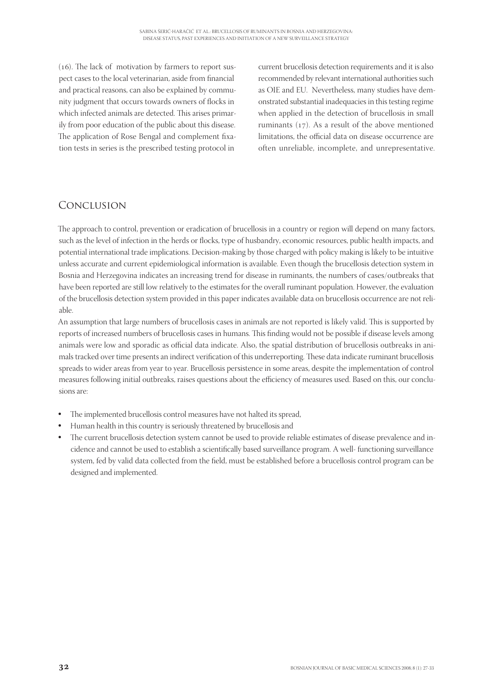$(16)$ . The lack of motivation by farmers to report suspect cases to the local veterinarian, aside from financial and practical reasons, can also be explained by community judgment that occurs towards owners of flocks in which infected animals are detected. This arises primarily from poor education of the public about this disease. The application of Rose Bengal and complement fixation tests in series is the prescribed testing protocol in current brucellosis detection requirements and it is also recommended by relevant international authorities such as OIE and EU. Nevertheless, many studies have demonstrated substantial inadequacies in this testing regime when applied in the detection of brucellosis in small ruminants  $(17)$ . As a result of the above mentioned limitations, the official data on disease occurrence are often unreliable, incomplete, and unrepresentative.

# Conclusion

The approach to control, prevention or eradication of brucellosis in a country or region will depend on many factors, such as the level of infection in the herds or flocks, type of husbandry, economic resources, public health impacts, and potential international trade implications. Decision-making by those charged with policy making is likely to be intuitive unless accurate and current epidemiological information is available. Even though the brucellosis detection system in Bosnia and Herzegovina indicates an increasing trend for disease in ruminants, the numbers of cases/outbreaks that have been reported are still low relatively to the estimates for the overall ruminant population. However, the evaluation of the brucellosis detection system provided in this paper indicates available data on brucellosis occurrence are not reliable.

An assumption that large numbers of brucellosis cases in animals are not reported is likely valid. This is supported by reports of increased numbers of brucellosis cases in humans. This finding would not be possible if disease levels among animals were low and sporadic as official data indicate. Also, the spatial distribution of brucellosis outbreaks in animals tracked over time presents an indirect verification of this underreporting. These data indicate ruminant brucellosis spreads to wider areas from year to year. Brucellosis persistence in some areas, despite the implementation of control measures following initial outbreaks, raises questions about the efficiency of measures used. Based on this, our conclusions are:

- -The implemented brucellosis control measures have not halted its spread,
- -Human health in this country is seriously threatened by brucellosis and
- -The current brucellosis detection system cannot be used to provide reliable estimates of disease prevalence and incidence and cannot be used to establish a scientifically based surveillance program. A well-functioning surveillance system, fed by valid data collected from the field, must be established before a brucellosis control program can be designed and implemented.